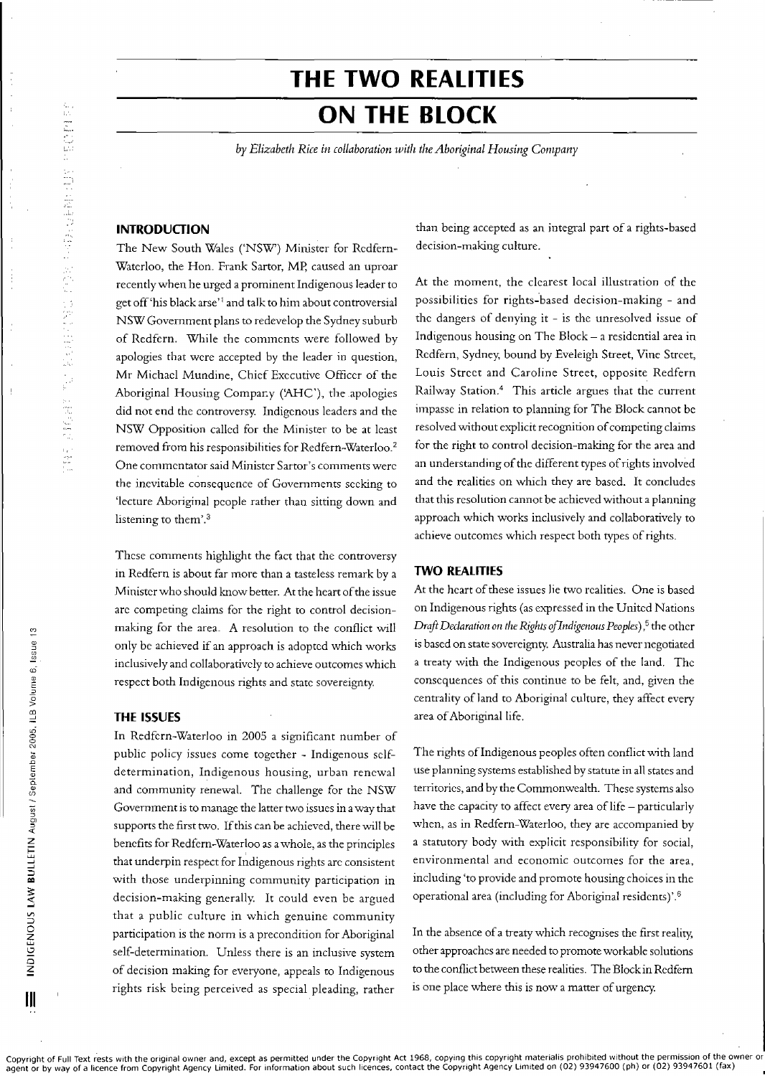# **THE TWO REALITIES ON THE BLOCK**

*by Elizabeth Rice in collaboration llJith the Aboriginal Housing Company*

## **INTRODUCTION**

The New South Wales ('NSW) Minister for Redfem-Waterloo, the Hon. Frank Sartor, MP, caused an uproar recently when he urged a prominent Indigenous leader to get off 'his black arse'<sup>1</sup> and talk to him about controversial NSW Government plans to redevelop the Sydney suburb of Redfem. While the comments were followed by apologies that were accepted by the leader in question, Mr Michael Mundine, Chief Executive Officer of the Aboriginal Housing Compary ('AHC'), the apologies did not end the controversy. Indigenous leaders and the NSW Opposition called for the Minister to be at least removed from his responsibilities for Redfern-Waterloo.<sup>2</sup> One commentator said Minister Sartor's comments were the inevitable consequence of Governments seeking to 'lecture Aboriginal people rather than sitting down and listening to them'.3

These comments highlight the fact that the controversy in Redfem is about far more than a tasteless remark by a Minister who should know better. At the heart of the issue are competing claims for the right to control decisionmaking for the area. A resolution to the conflict will onIy be achieved if an approach is adopted which works inclusively and collaboratively to achieve outcomes which respect both Indigenous rights and state sovereignty.

## **THE ISSUES**

In Redfem-Waterloo in 2005 a significant number of public policy issues come together - Indigenous selfdetermination, Indigenous housing, urban renewal and community renewal. The challenge for the NSW Government is to manage the latter two issues in away that supports the first two. If this can be achieved, there will be benefits for Redfem-Waterloo as awhole, as the principles that underpin respect for Indigenous rights are consistent with those underpinning community participation in decision-making generally. It could even be argued that a public culture in which genuine community participation is the norm is a precondition for Aboriginal self-determination. Unless there is an inclusive system of decision making for everyone, appeals to Indigenous rights risk being perceived as special pleading, rather

Copyright of Full Text rests with the original owner and, except as permitted under the Copyright Act 1968, copying this copyright materialis prohibited without the permission of the owner or<br>agent or by way of a licence f

than being accepted as an integral part of a rights-based decision-making culture.

At the moment, the clearest local illustration of the possibilities for rights-based decision-making - and the dangers of denying it - is the unresolved issue of Indigenous housing on The Block - a residential area in Redfem, Sydney, bound by Eveleigh Street, Vine Street, Louis Street and Caroline Street, opposite Redfern Railway Station.4 This article argues that the current impasse in relation to planning for The Block cannot be resolved without explicit recognition of competing claims for the right to control decision-making for the area and an understanding of the different types of rights involved and the realities on which they are based. It concludes that this resolution cannot be achieved without a planning approach which works inclusively and collaboratively to achieve outcomes which respect both types of rights.

## **TWO REALITIES**

At the heart of these issues lie two realities. One is based on Indigenous rights (as expressed in the United Nations *DraftDeclaration on the Rights oflndigmous Peoples),5* the other is based on state sovereignty. Australia has never negotiated a treaty with the Indigenous peoples of the land. The consequences of this continue to be felt, and, given the centrality of land to Aboriginal culture, they affect every area of Aboriginal life.

The rights of Indigenous peoples often conflict with land use planning systems established by statute in all states and territories, and by the Commonwealth. These systems also have the capacity to affect every area of life - particularly when, as in Redfern-Waterloo, they are accompanied by a statutory body with explicit responsibility for social, environmental and economic outcomes for the area, including 'to provide and promote housing choices in the operational area (including for Aboriginal residents)'.<sup>6</sup>

In the absence of a treaty which recognises the first reality, other approaches are needed to promote workable solutions to the conflict between these realities. The Block in Redfem is one place where this is now a matter of urgency.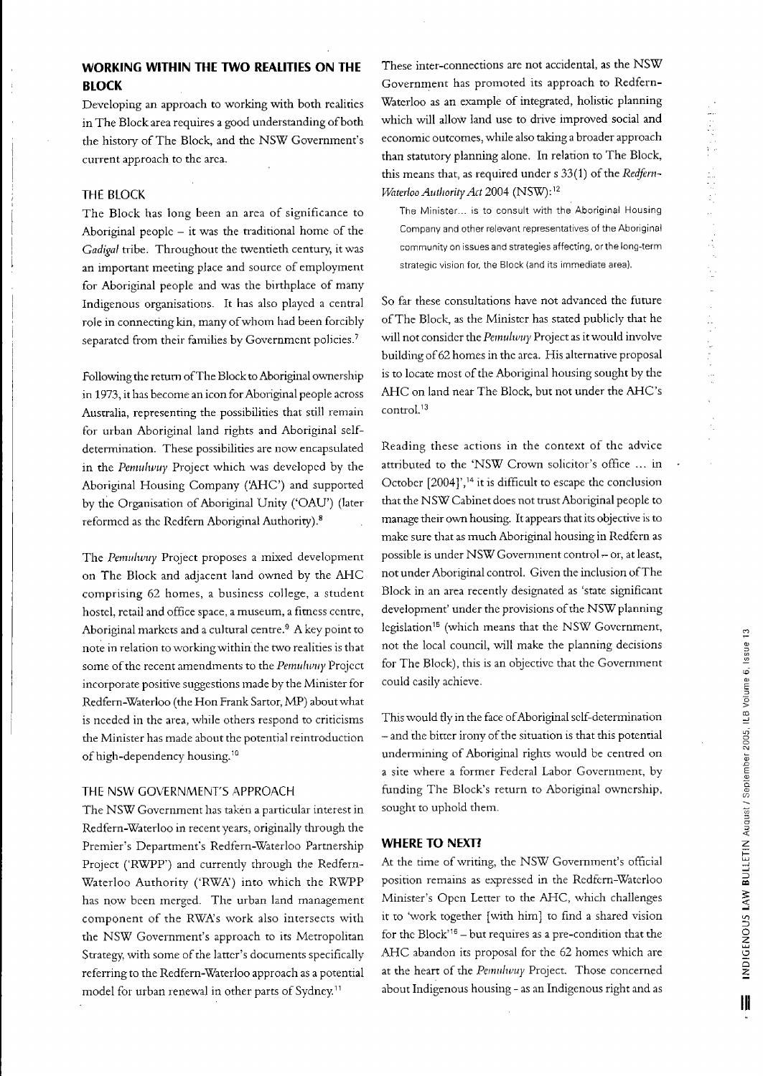## **WORKING WITHIN THE TWO REALITIES ON THE BLOCK**

Developing an approach to working with both realities in The Block area requires a good understanding of both the history of The Block, and the NSW Government's current approach to the area.

## **HIE** BLOCK

The Block has long been an area of significance to Aboriginal people  $-$  it was the traditional home of the *Gadigal* tribe. Throughout the twentieth century, it was an important meeting place and source of employment for Aboriginal people and was the birthplace of many Indigenous organisations\_ It has also played a central role in connecting kin, many ofwhom had been forcibly separated from their families by Government policies.<sup>7</sup>

Following the retum ofThe Block to Aboriginal ownership in 1973, it has become an icon for Aboriginal people across Australia, representing the possibilities that still remain for urban Aboriginal land rights and Aboriginal selfdetermination. These possibilities are now encapsulated in the *PernuI1/luy* Project which was developed by the Aboriginal Housing Company ('AHC') and supported by the Organisation of Aboriginal Unity ('OAU') (later reformed as the Redfern Aboriginal Authority).8

The *Pemulwuy* Project proposes a mixed development on The Block and adjacent land owned by the AHC comprising 62 homes, a business college, a student hostel, retail and office space, a museum, a fitness centre, Aboriginal markets and a cultural centre.<sup>9</sup> A key point to note in relation to working within the two realities is that some of the recent amendments to the *Pemulwuy* Project incorporate positive suggestions made by the Minister for Redfem-Waterloo (the Hon Frank Sartor, MP) about what is needed in the area, while others respond to criticisms the Minister has made about the potential reintroduction of high-dependency housing.<sup>10</sup>

## THE NSW GOVERNMENT'S APPROACH

The NSW Government has taken a particular interest in Redfern-Waterloo in recent years, originally through the Premier's Department's Redfem-Waterloo Partnership Project ('RWPP') and currently through the Redfem-Waterloo Authority ('RWA') into which the RWPP has now been merged. The urban land management component of the RWA's work also intersects with the NSW Government's approach to its Metropolitan Strategy, with some of the latter's documents specifically referring to the Redfern-Waterloo approach as a potential model for urban renewal in other parts of Sydney.11

These inter-connections are not accidental, as the NSW Government has promoted its approach to Redfem-Waterloo as an example of integrated, holistic planning which will allow land use to drive improved social and economic outcomes, while also taking a broader approach than statutory planning alone. In relation to The Block, this means that, as required under  $s$  33(1) of the Redfern-*VVaterloo AuthorityAct* 2004 (NSW): <sup>12</sup>

The Minister... is to consult with the Aboriginal Housing Company and other relevant representatives of the Aboriginal community on issues and strategies affecting, or the long-term strategic vision for, the Block (and its immediate area).

So far these consultations have not advanced the future ofThe Block, as the Minister has stated publicly that he will not consider the *Pemulwuy* Project as it would involve building of62 homes in the area. His altemative proposal is to locate most of the Aboriginal housing sought by the AHC on land near The Block, but not under the AHC's control.<sup>13</sup>

Reading these actions in the context of the advice attributed to the 'NSW Crown solicitor's office ... in October [2004]',<sup>14</sup> it is difficult to escape the conclusion that the NSW Cabinet does not trust Aboriginal people to manage their own housing. It appears that its objective is to make sure that as much Aboriginal housing in Redfern as possible is under NSW Government control - or, at least, not under Aboriginal control. Given the inclusion ofThe Block in an area recently designated as 'state significant development' under the provisions of the NSW planning legislation<sup>15</sup> (which means that the NSW Government, not the local council, will make the planning decisions for The Block), this is an objective that the Government could easily achieve\_

This would fly in the face of Aboriginal self-determination - and the bitter irony of the situation is that this potential undermining of Aboriginal rights would be centred on a site where a former Federal Labor Government, by funding The Block's return to Aboriginal ownership, sought to uphold them.

#### **WHERE TO NEXn**

At the time of writing, the NSW Government's official position remains as expressed in the Redfern-Waterloo Minister's Open Letter to the AHC, which challenges it to 'work together [with him) to find a shared vision for the Block'16 - but requires as a pre-condition that the AHC abandon its proposal for the 62 homes which are at the heart of the *Pemulwuy* Project. Those concerned about Indigenous housing - as an Indigenous right and as